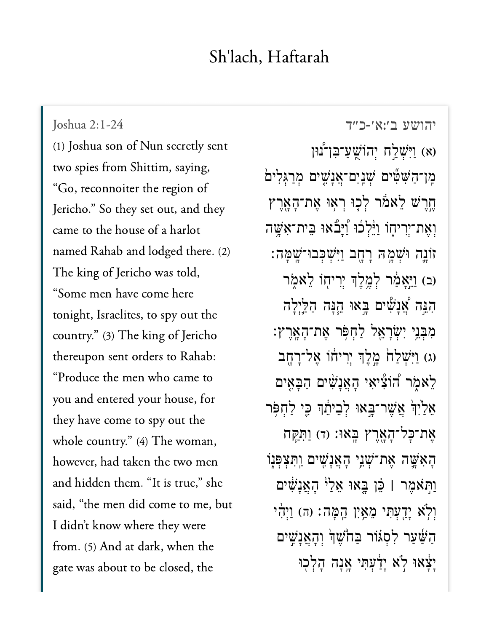## $^{\text{II}}$  1 H  $^{\text{II}}$  1

[יהושע ב׳:א׳-כ״ד](https://www.sefaria.org/Joshua%202:1-24)<br>יהושע ב׳:א׳-כ״ד Joshua 2:1-24<br>(1) [Joshua son](https://www.sefaria.org/Joshua%202:1-24) of Nun secretly sent Joshua 2:1-24 two spies from Shittim, saying, Jericho." So they set out, and theyJericho." So they set out, and they came to the house of a harlot named Rahab and lodged there. (2) The king of Jericho was told, "Some men have come here tonight, Israelites, to spy out the country." (3) The king of Jericho thereupon sent orders to Rahab: "Produce the men who came to you and entered your house, for they have come to spy out the whole country." (4) The woman, however, had taken the two men and hidden them. "It is true," she  $\cdot$  1  $\cdot$  4  $\cdot$  1  $\cdot$  1  $\cdot$  1  $\cdot$  1  $\cdot$  1  $\cdot$  1  $\cdot$  1  $\cdot$  1  $\cdot$  1  $\cdot$  1  $\cdot$  1  $\cdot$  1  $\cdot$  1  $\cdot$  1  $\cdot$  1  $\cdot$  1  $\cdot$  1  $\cdot$  1  $\cdot$  1  $\cdot$  1  $\cdot$  1  $\cdot$  1  $\cdot$  1  $\cdot$  1  $\cdot$  1  $\cdot$  1  $\cdot$  1  $\cdot$  1  $\cdot$  1  $\cdot$ I didn't know where they were from. (5) And at dark, when the gate was about to be closed, the

וּאָלַח יְהוֹשֱעַ־בִּן־נוּן) (א מֵן־הַשָּׁשִּׁים שָׁנַיִם־אֲנָשִים מְרַגְּלִים ְחֲרָשׁ לֵאמֹר לְכָוּ רְאִוּ אֵת־הָאֲרֶץ וְאֶת־יִרִיחֶוֹ וַיֵּלְלוּ וַ<sup>וָּ</sup>בָלוּ בִּית־אָשֵׁה ּוֹנֵה וּשְׁמָה רָחֶב וַיְּשָׁכְּבוּ־שָׁמָה: (ב) וַיֵּאֲמֵׂר לְמֱלֶךְ יִרִיחָוֹ לֵאמֶר הִגֵּה אֲׁנָשִׁים בָּאוּ הֵנָּה הַלֵּיִלָה ִמ ְּב ֵ֥ני ִיְׂש ָר ֵ֖א ל ַל ְח ֹּ֥פ ר ֶא ת־ָה ָֽא ֶר ץ׃ (ג) וַיִּשְׁלַח ׁמֱלֶךְ יִרְיחוֹ אֱל־רָחָב הָאֲנָשִׁים הַבָּאֵים לְאמָ<sup>א</sup> יִהְאֲנָשִׁים אַלַיִ<sup>ּ</sup>ךְ אֲשֵׁר־בָּאוּ לְבֵיתֵ֫ךְ כֵֵי לַחָפְּר ָאֶת־כָּל־הָאָרֵץ בָּאוּ: (ד) וַתְּקָח ָהָאִשֶּׁה אֶת־שָׁנֵי הָאֲנָשִׁים וַתִּצְפְּנָו ַו ֹּ֣ת אֶמ ר **׀** ֵּ֗כ ן ָּ֤ב אּו ֵא ַל ֙י ָה ֲא ָנִׁ֔ש ים וְלָ<sup>יָ</sup>א יָדֲעָתִּי מֵאֲיָן הֱמָה: (ה) וַיִּהְי הַשַּׁעַר לִסְגּוֹר בַּחֹשֶׁן וְהָאֲנָשִים ַיָּצָׁאוּ לְא יָדַעְתִּי אֲנָה הַלְכִוּ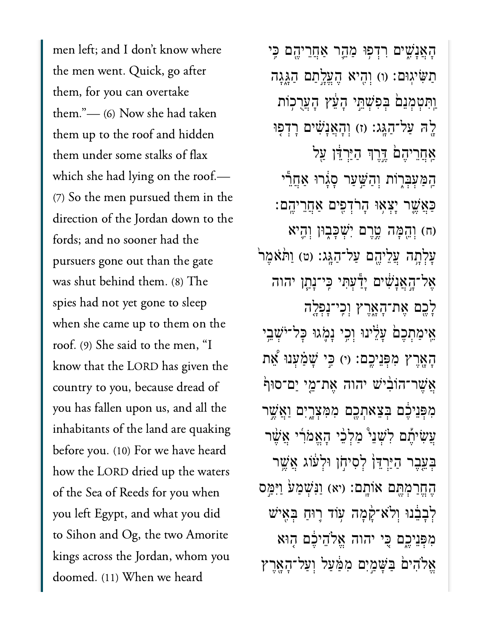men left; and I don't know where the men went. Quick, go after them, for you can overtake them." $-$  (6) Now she had taken them up to the roof and hidden them under some stalks of flax which she had lying on the roof.- $(7)$  So the men pursued them in the direction of the Jordan down to the fords; and no sooner had the pursuers gone out than the gate was shut behind them. (8) The spies had not yet gone to sleep when she came up to them on the roof. (9) She said to the men, "I know that the LORD has given the<br>country to you, because dread of country to you, because dread of you has fallen upon us, and all the inhabitants of the land are quaking before you. (10) For we have heard how the LORD dried up the waters of the Sea of Reeds for you when you left Egypt, and what you did to Sihon and Og, the two Amorite kings across the Jordan, whom you doomed. (11) When we heard

ַהָאֲנָשִים רִדְפִוּ מַהֱר אַחֲרִיהֵם כֵּי ַתַּשִּׁיֹגוּם: (ו) וְהִיא הֵעֵלֵתַם הַגֲגָה ַוְּתִּטְמְנֵם בְּפִשְׁתֵּי הָעֵׁץ הָעֲרֻכְוֹת ַלֶּה עַל־הַגָּג: (ז) וְהָאֲנָשִׁים רָדְפִּוּ ַאֲחֲרִיהֶםׂ דֶּרֶךְ הַיַּרְדָּ֫ן עַל ַּהַמַּעְּבִּרְוֹת וְהַשֵּׁעַר סָגָרוּ אַחֲרֵי ַּכְאֲשֱר יָצְאָוּ הָרֹדְפִים אַחֲרִיְהֵם: )ח( ְוֵ֖הָּמה ֶ֣טֶרם ִיְׁשָּכ֑בּון ְוִ֛היא ַעֲלְתֶה עֲלֵיהֶם עַל־הַגֶּג: (ט) וַתּאֹמֶר ָאֶל־הָאֲנָשִׁים יָדַ<sup>ּ</sup>עִתִּי כִּי־נָתַן יהוה ָלֶ֖כם ֶאת־ָהָ֑אֶרץ ְוִֽכי־ָנְפָ֤לה אֵימַתְכֵם עַלֵּינוּ וְכֵי נַמָּגוּ כַּל־יֹּשָׁבֵי הָאֶרֵץ מְפִּנִיכֵם: וי) כֵּי שָׁמַּעָנוּ אֶת ֿאֲשֶׁר־הוֹבִּיֹשׁ יהוה אֶת־מֵי יַם־סוּף מִפְּנֵיכֶם בִצֵאתְכֵם מִמְּצָרֵיִם וַ<u>אֲ</u>ּשֶׁר ַעֲשִׂיתֶם לְשָׁנֵי *ּמַלְבֵּי הָאֵמֹרִי אֲשֶׁר* ַבְּעֵבֵר הַיַּרְדֵּןؗ לְסִיחָן וּלְעֹוֹג אֲשֵׁר הֶחֱרַמְהֶם אוֹתְם: (יא) וַנִּשְׁמַעֹ וַיִּמֵּס ַלְבָבֶּנוּ וְלֹא־קָמָה עָוֹד רֵוּחַ בְּאֵיש ִמְּפֵניֶ֑כם ִּ֚כי יהוה ֱאֹלֵהיֶ֔כם ֤הּוא ֱאֹלִהי֙ם ַּבָּׁשַ֣מִים ִמַּ֔מַעל ְוַעל־ָהָ֖אֶרץ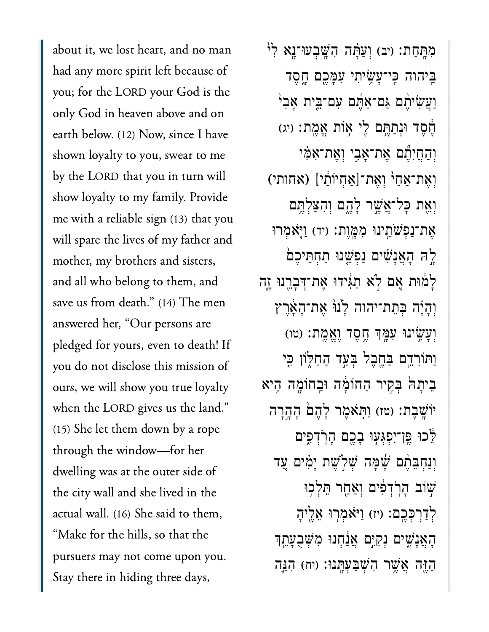man had any more spirit left because of  $\mathbf{f}$  because of  $\mathbf{f}$ had any more spirit left because of you; for the LORD your God is the only God in heaven above and on earth below. (12) Now, since I have shown loyalty to you, swear to me by the LORD that you in turn will .<br>show loyalty to my family. Provide<br>me with a reliable sign (13) that you me with a reliable sign  $(13)$  that you will spare the lives of my father and mother, my brothers and sisters, and all who belong to them, and<br>save us from death." (14) The men save us from death." (14) The men answered her, "Our persons are  $y = 1$  do not disclose the notation of  $y = 1$ ours, we will show you true loyaltyours, we will show you true loyalty when the LORD gives us the land."  $(15)$  She let them down by a rope through the window-for her the city wall and she like  $\frac{1}{\sqrt{1-\frac{1}{n}}}$  was defined in the contract of  $\frac{1}{n}$ the city wall and she lived in the actual wall. (16) She said to them, "Make for the hills, so that the pursuers may not come upon you. Stay there in hiding three days,

מְּתַּחַת: (יִב) וְעַ<sup>ּ</sup>תָּה הִשֲּׁבְעוּ־נֵא לְ<sup>וֹ</sup> ַבִּיהוה כִּי־עָּשִׂיתִי עִמָּכֵם חֲסֵד ַוְעֲשִׂיהֶם גַּם־אַחֶּם עִם־בֵּית אָבִי ּחֶסֵד וּנְתַחֱם לֵי אִוֹת אֱמֱת: (יג) וְהַחֲיָּתֵׁם אֶת־אָּבִי וְאֵת־אָמִּי וְאֶת־אַחַ<sup>וּ</sup> וְאֵת־[אַחְיוֹתַ<sup>,</sup> ] (אחותי) וְאֵת כַּל־אֲשֶׁר לָהֱם וְהָצָלְתֵּם ָאֶת־נַפְ**ּשֹׁחֱינוּ מִמֶּוֵת: (יד) וַיְּ**אָמְרוּ ָלֶהּ הָאֲנָשִׁים נַפְּשֵׁנוּ תַחְתֵּיכֵם לַמ<mark>ֿוּת אָם לְא תַגִּ</mark>ידוּ אֶת־דְּבְרֵנוּ יֶזֶה וְהָיָה בְּתֵת־יהוה לָ<sup>וַן</sup> אֲת־הָאֶרֶץ וְעָ*ֹשִׂ*ינוּ עִמְּךְ חֱסֵד וֵאֱמֶת: (טו) וַתּוֹרְדֵם בַּחֱבֵל בְּעֲד הַחַלְוֹן כִּי ּבִיתָה ּבְקִיר הַחוֹמֶה וּבְחוֹמֶה הִָיא יוֹשֶׁבֶת: (טז) וַתְּאֹמֶר לָהֶם הָהֶרָה ַּלֵּכוּ פֵּו־יִפְגְּעָוּ בְבֶם הָרְדְפֶים וְנַחָבֶּהֶם *שָׁׂמָּה שִׁלְ*שֵׁת יָמִים עַד ֿשׂוֹב הָרִדְפִּים וְאַחַר הֵלְכוּ לְדַרְכְּכֵֵם: (יז) וַיּאמְרִוּ אֲלֵיהָ ָהָאֲנָשִׁיִּם נִקְיֵּם אֲנַׁחָנוּ מִשְׁבָעָהֵֽךְ ַהֲזֶּה אֲשֶׁר הִשְׁבַעְּתֲנוּ: (יח) הָגֵּה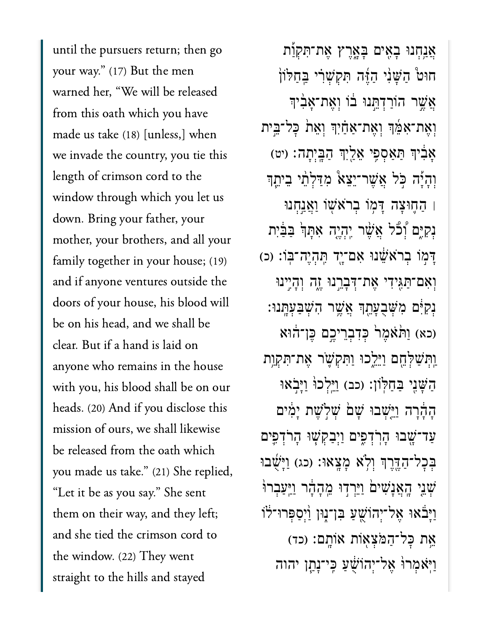until the pursuers return; the<br>your way." (17) But the men your way." (17) But the men warned her, "We will be released h which you have<br>(18) [unless,] when from this oath which you have  $\frac{1}{1}$  invade the country, you tie this term is the country of the country of the country of this term is the country of the country of the country of the country of the country of the country of the country of the cou we invade the country, you tie this length of crimson cord to the window through which you let us down. Bring your father, your<br>mother, your brothers, and all your down. Bring your father, your family together in your house;  $(19)$ and if anyone ventures outside the doors of your house, his blood will be on his head, and we shall be clear. But if a hand is laid on anyone who remains in the house with you, his blood shall be on our heads. (20) And if you disclose this mission of ours, we shall likewise e oath which<br>(21) She replied, be released from the oath which  $\frac{1}{\sqrt{2}}$  it be as  $\frac{1}{\sqrt{2}}$  is because say. She see sentence "Let it be as you say." She sent  $\frac{1}{2}$  them on their way, and they left;<br>and she tied the crimson cord to and she tied the crimson cord to  $\begin{bmatrix} 1 & 1 & 1 \end{bmatrix}$  and stayed  $\begin{bmatrix} 1 & 1 \end{bmatrix}$ straight to the hills and stayed

**ְאֲנַחָנוּ בָאִים בָּאֲרֵץ אֵת־תִּקְוַת** חוּט *הַשָּׁנִי הַזֶּ*ּה תִּקְשָׁרִי בַּחַלֹוֹן ְאֲשֶׁר הוֹרַדְהֲנוּ בֹוֹ וְאֱת־אֲבְוִדִּ וְאֶת־אִמֵּ֫ךְ וְאֶת־אַחַ֫יִךְ וְאֵת כָּל־בֵּית **ָא**ַבְּיִךְ הַאֲסָפֵי אֱלֵיְךָ הַבֵּיְתָה׃ (יט וְהָיַ**̈ה כִּל אֲשֶׁר־יֵצֵא ּמְדִּלְתֵ֫י בֵי**תֵֽןּ ׀ ַה֛חּוָצה ָּד֥מֹו ְבֹראׁ֖שֹו ַוֲאַ֣נְחנּו וָקִיֶּם וְצוֹ אֲשֶׁר יְהְיֶה אִתְּךְׂ בַּבַּיִת ַדְּמֹוֹ בְרֹאֵשֶׁׁנוּ אָם־יָד תְּהָיֶה־בְּוֹ: (כ) וְאִם־תַּגְּיִדִי אֶת־דָּבָרֱנוּ זֶה וְהָיֶינוּ **ַנִּקְיָּ֔ם מְ**ּשָׁבְעָהֵֽךְ אֲשֵׁר הִשְׁבַעָּתֲנוּ: (כא) וַתֹּאֹמֶר ּכְּדִבְרֵיכֶם בֶּן־הוּא ַוְּתִּשְׁלְּחֵם וַיֵּיִלְכוּ וַתְּקִשָּׁר אֶת־תִּקְוֶת ָהַשָּׁנֵי בַחַלְוֹן: (כב) וַיֵּלְכוּ וַיַּבְאוּ הָהָרָה וַיֵּשְׁבוּ שַׁם שִׁלְשֶׁת יַמִּים ַעַד־שָׁבוּ הָרְדְפִים וַיִּבַקִשָּׁוּ הָרֹדְפִּים ַבְּכָל־הַדֶּרֶךְ וְלָא מַצֵאוּ: (כג) וַיַּשָׁבוּ ּשֶׁנֵי הָאֲנָשִׁים וַיֵּרְדִוּ מֵהָהָר וַיַּעֲבְרוּ וַיָּבֹּאוּ אֵל־יִהוֹּשֵׁעַ בִּן־נְוּן וַ<sup>וְ</sup>סַפְּרוּ־לֹוֹ אֶת כָּל־הַמֹּצִא<mark>ָ</mark>ּוֹת אוֹתַם: (כד) ַוֹּֽיאְמרּ֙ו ֶאל־ְיהֹוֻׁ֔שַע ִּֽכי־ָנַ֧תן יהוה